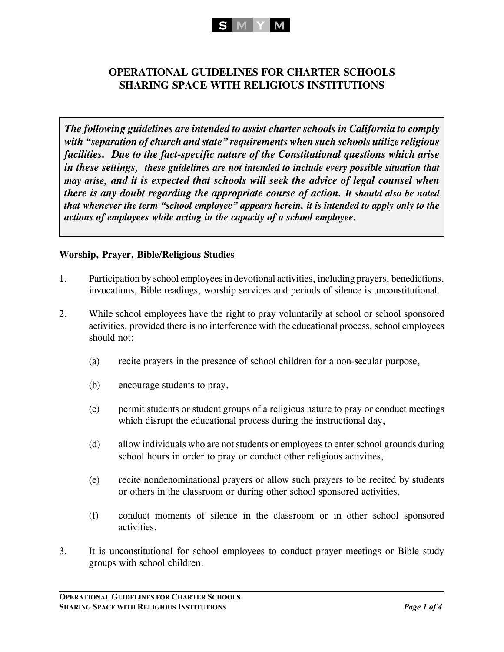

# **OPERATIONAL GUIDELINES FOR CHARTER SCHOOLS SHARING SPACE WITH RELIGIOUS INSTITUTIONS**

*The following guidelines are intended to assist charter schools in California to comply with "separation of church and state" requirements when such schools utilize religious facilities. Due to the fact-specific nature of the Constitutional questions which arise in these settings, these guidelines are not intended to include every possible situation that may arise, and it is expected that schools will seek the advice of legal counsel when there is any doubt regarding the appropriate course of action. It should also be noted that whenever the term "school employee" appears herein, it is intended to apply only to the actions of employees while acting in the capacity of a school employee.*

## **Worship, Prayer, Bible/Religious Studies**

- 1. Participation by school employees in devotional activities, including prayers, benedictions, invocations, Bible readings, worship services and periods of silence is unconstitutional.
- 2. While school employees have the right to pray voluntarily at school or school sponsored activities, provided there is no interference with the educational process, school employees should not:
	- (a) recite prayers in the presence of school children for a non-secular purpose,
	- (b) encourage students to pray,
	- (c) permit students or student groups of a religious nature to pray or conduct meetings which disrupt the educational process during the instructional day,
	- (d) allow individuals who are not students or employees to enter school grounds during school hours in order to pray or conduct other religious activities,
	- (e) recite nondenominational prayers or allow such prayers to be recited by students or others in the classroom or during other school sponsored activities,
	- (f) conduct moments of silence in the classroom or in other school sponsored activities.
- 3. It is unconstitutional for school employees to conduct prayer meetings or Bible study groups with school children.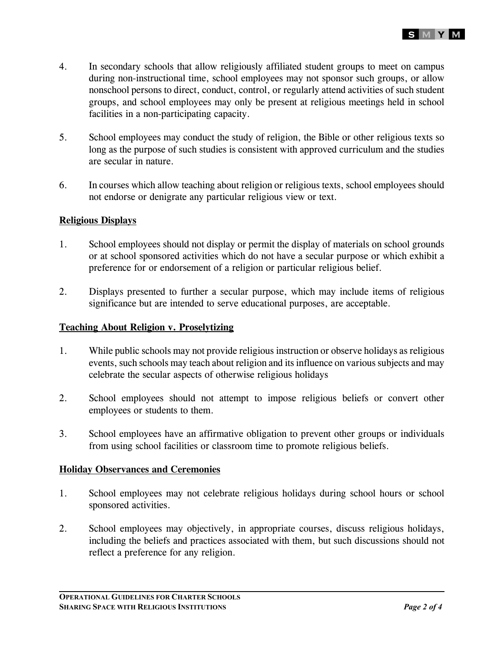

- 4. In secondary schools that allow religiously affiliated student groups to meet on campus during non-instructional time, school employees may not sponsor such groups, or allow nonschool persons to direct, conduct, control, or regularly attend activities of such student groups, and school employees may only be present at religious meetings held in school facilities in a non-participating capacity.
- 5. School employees may conduct the study of religion, the Bible or other religious texts so long as the purpose of such studies is consistent with approved curriculum and the studies are secular in nature.
- 6. In courses which allow teaching about religion or religious texts, school employees should not endorse or denigrate any particular religious view or text.

## **Religious Displays**

- 1. School employees should not display or permit the display of materials on school grounds or at school sponsored activities which do not have a secular purpose or which exhibit a preference for or endorsement of a religion or particular religious belief.
- 2. Displays presented to further a secular purpose, which may include items of religious significance but are intended to serve educational purposes, are acceptable.

### **Teaching About Religion v. Proselytizing**

- 1. While public schools may not provide religious instruction or observe holidays as religious events, such schools may teach about religion and its influence on various subjects and may celebrate the secular aspects of otherwise religious holidays
- 2. School employees should not attempt to impose religious beliefs or convert other employees or students to them.
- 3. School employees have an affirmative obligation to prevent other groups or individuals from using school facilities or classroom time to promote religious beliefs.

#### **Holiday Observances and Ceremonies**

- 1. School employees may not celebrate religious holidays during school hours or school sponsored activities.
- 2. School employees may objectively, in appropriate courses, discuss religious holidays, including the beliefs and practices associated with them, but such discussions should not reflect a preference for any religion.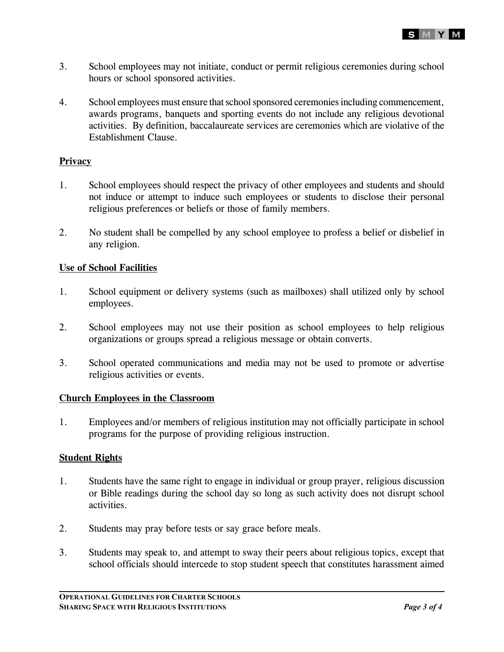

- 3. School employees may not initiate, conduct or permit religious ceremonies during school hours or school sponsored activities.
- 4. School employees must ensure that school sponsored ceremonies including commencement, awards programs, banquets and sporting events do not include any religious devotional activities. By definition, baccalaureate services are ceremonies which are violative of the Establishment Clause.

### **Privacy**

- 1. School employees should respect the privacy of other employees and students and should not induce or attempt to induce such employees or students to disclose their personal religious preferences or beliefs or those of family members.
- 2. No student shall be compelled by any school employee to profess a belief or disbelief in any religion.

## **Use of School Facilities**

- 1. School equipment or delivery systems (such as mailboxes) shall utilized only by school employees.
- 2. School employees may not use their position as school employees to help religious organizations or groups spread a religious message or obtain converts.
- 3. School operated communications and media may not be used to promote or advertise religious activities or events.

#### **Church Employees in the Classroom**

1. Employees and/or members of religious institution may not officially participate in school programs for the purpose of providing religious instruction.

### **Student Rights**

- 1. Students have the same right to engage in individual or group prayer, religious discussion or Bible readings during the school day so long as such activity does not disrupt school activities.
- 2. Students may pray before tests or say grace before meals.
- 3. Students may speak to, and attempt to sway their peers about religious topics, except that school officials should intercede to stop student speech that constitutes harassment aimed